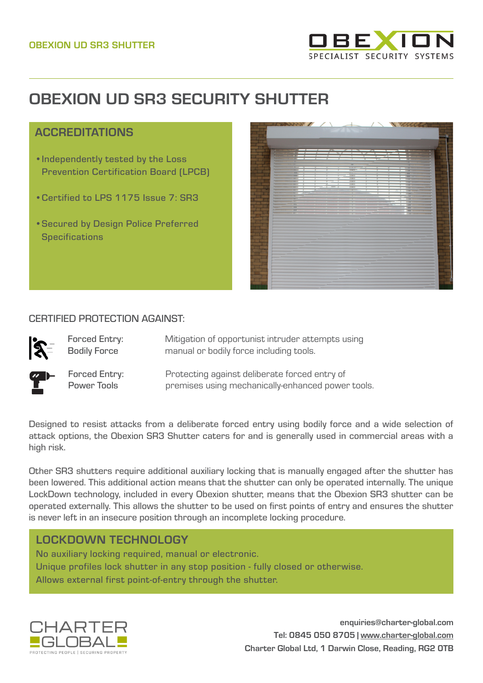

# **OBEXION UD SR3 SECURITY SHUTTER**

# ACCREDITATIONS

- •Independently tested by the Loss Prevention Certification Board (LPCB)
- •Certified to LPS 1175 Issue 7: SR3
- •Secured by Design Police Preferred **Specifications**



#### CERTIFIED PROTECTION AGAINST:

Forced Entry: Bodily Force

Mitigation of opportunist intruder attempts using manual or bodily force including tools.



Forced Entry: Power Tools

Protecting against deliberate forced entry of premises using mechanically-enhanced power tools.

Designed to resist attacks from a deliberate forced entry using bodily force and a wide selection of attack options, the Obexion SR3 Shutter caters for and is generally used in commercial areas with a high risk.

Other SR3 shutters require additional auxiliary locking that is manually engaged after the shutter has been lowered. This additional action means that the shutter can only be operated internally. The unique LockDown technology, included in every Obexion shutter, means that the Obexion SR3 shutter can be operated externally. This allows the shutter to be used on first points of entry and ensures the shutter is never left in an insecure position through an incomplete locking procedure.

# LOCKDOWN TECHNOLOGY

No auxiliary locking required, manual or electronic. Unique profiles lock shutter in any stop position - fully closed or otherwise. Allows external first point-of-entry through the shutter.



**enquiries@charter-global.com Tel: 0845 050 8705 | [www.charter-global.com](http://www.charter-global.com) Charter Global Ltd, 1 Darwin Close, Reading, RG2 0TB**